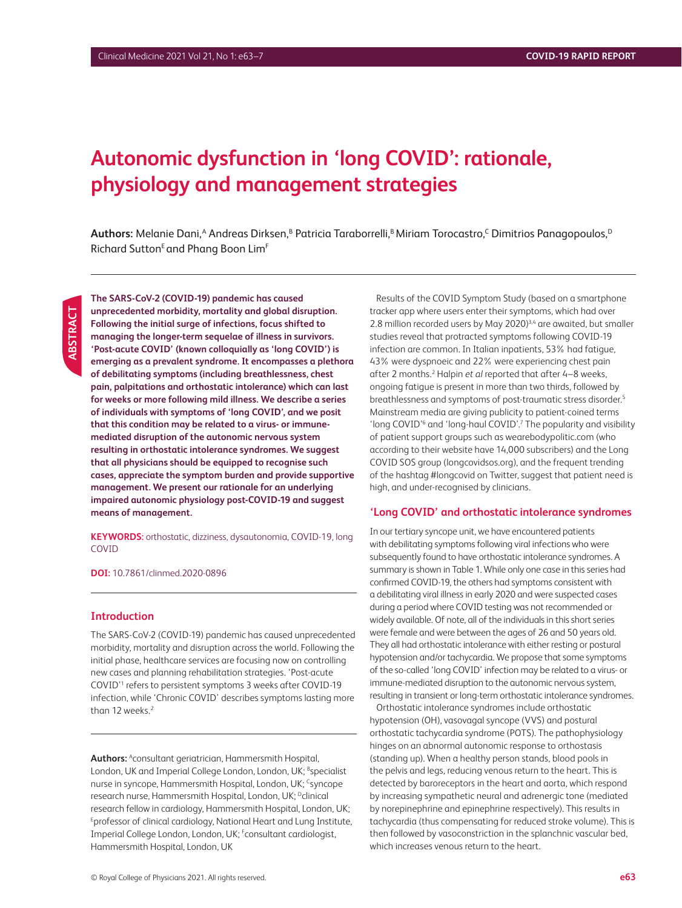# **Autonomic dysfunction in 'long COVID': rationale, physiology and management strategies**

**Authors:** Melanie Dani,<sup>A</sup> Andreas Dirksen,<sup>B</sup> Patricia Taraborrelli,<sup>B</sup> Miriam Torocastro,<sup>C</sup> Dimitrios Panagopoulos,<sup>D</sup> Richard Sutton<sup>E</sup> and Phang Boon Lim<sup>F</sup>

**ABSTRACT** ABSTRACT **The SARS-CoV-2 (COVID-19) pandemic has caused unprecedented morbidity, mortality and global disruption. Following the initial surge of infections, focus shifted to managing the longer-term sequelae of illness in survivors. 'Post-acute COVID' (known colloquially as 'long COVID') is emerging as a prevalent syndrome. It encompasses a plethora of debilitating symptoms (including breathlessness, chest pain, palpitations and orthostatic intolerance) which can last for weeks or more following mild illness. We describe a series of individuals with symptoms of 'long COVID', and we posit that this condition may be related to a virus- or immunemediated disruption of the autonomic nervous system resulting in orthostatic intolerance syndromes. We suggest that all physicians should be equipped to recognise such cases, appreciate the symptom burden and provide supportive management. We present our rationale for an underlying impaired autonomic physiology post-COVID-19 and suggest means of management.**

**KEYWORDS:** orthostatic, dizziness, dysautonomia, COVID-19, long COVID

**DOI:** 10.7861/clinmed.2020-0896

## **Introduction**

The SARS-CoV-2 (COVID-19) pandemic has caused unprecedented morbidity, mortality and disruption across the world. Following the initial phase, healthcare services are focusing now on controlling new cases and planning rehabilitation strategies. 'Post-acute COVID'1 refers to persistent symptoms 3 weeks after COVID-19 infection, while 'Chronic COVID' describes symptoms lasting more than 12 weeks.<sup>2</sup>

Authors: Aconsultant geriatrician, Hammersmith Hospital, London, UK and Imperial College London, London, UK; <sup>B</sup>specialist nurse in syncope, Hammersmith Hospital, London, UK; <sup>c</sup>syncope research nurse, Hammersmith Hospital, London, UK; <sup>D</sup>clinical research fellow in cardiology, Hammersmith Hospital, London, UK; <sup>E</sup>professor of clinical cardiology, National Heart and Lung Institute, Imperial College London, London, UK; Fconsultant cardiologist, Hammersmith Hospital, London, UK

Results of the COVID Symptom Study (based on a smartphone tracker app where users enter their symptoms, which had over 2.8 million recorded users by May 2020) $^{3,4}$  are awaited, but smaller studies reveal that protracted symptoms following COVID-19 infection are common. In Italian inpatients, 53% had fatigue, 43% were dyspnoeic and 22% were experiencing chest pain after 2 months.<sup>2</sup> Halpin et al reported that after 4-8 weeks, ongoing fatigue is present in more than two thirds, followed by breathlessness and symptoms of post-traumatic stress disorder.5 Mainstream media are giving publicity to patient-coined terms 'long COVID'<sup>6</sup> and 'long-haul COVID'.<sup>7</sup> The popularity and visibility of patient support groups such as wearebodypolitic.com (who according to their website have 14,000 subscribers) and the Long COVID SOS group (longcovidsos.org), and the frequent trending of the hashtag #longcovid on Twitter, suggest that patient need is high, and under-recognised by clinicians.

#### **'Long COVID' and orthostatic intolerance syndromes**

In our tertiary syncope unit, we have encountered patients with debilitating symptoms following viral infections who were subsequently found to have orthostatic intolerance syndromes. A summary is shown in Table 1. While only one case in this series had confirmed COVID-19, the others had symptoms consistent with a debilitating viral illness in early 2020 and were suspected cases during a period where COVID testing was not recommended or widely available. Of note, all of the individuals in this short series were female and were between the ages of 26 and 50 years old. They all had orthostatic intolerance with either resting or postural hypotension and/or tachycardia. We propose that some symptoms of the so-called 'long COVID' infection may be related to a virus- or immune-mediated disruption to the autonomic nervous system, resulting in transient or long-term orthostatic intolerance syndromes.

Orthostatic intolerance syndromes include orthostatic hypotension (OH), vasovagal syncope (VVS) and postural orthostatic tachycardia syndrome (POTS). The pathophysiology hinges on an abnormal autonomic response to orthostasis (standing up). When a healthy person stands, blood pools in the pelvis and legs, reducing venous return to the heart. This is detected by baroreceptors in the heart and aorta, which respond by increasing sympathetic neural and adrenergic tone (mediated by norepinephrine and epinephrine respectively). This results in tachycardia (thus compensating for reduced stroke volume). This is then followed by vasoconstriction in the splanchnic vascular bed, which increases venous return to the heart.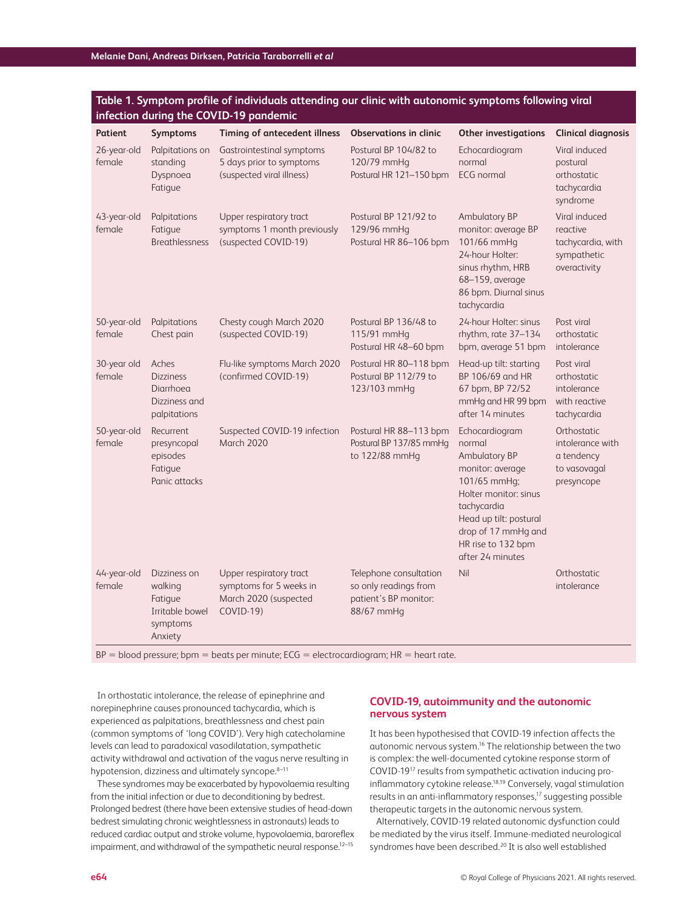|                                        | Table 1. Symptom profile of individuals attending our clinic with autonomic symptoms following viral |
|----------------------------------------|------------------------------------------------------------------------------------------------------|
| infection during the COVID-19 pandemic |                                                                                                      |

| Patient               | Symptoms                                                                     | <b>Timing of antecedent illness</b>                                                      | <b>Observations in clinic</b>                                                          | <b>Other investigations</b>                                                                                                                                                                                      | <b>Clinical diagnosis</b>                                                     |
|-----------------------|------------------------------------------------------------------------------|------------------------------------------------------------------------------------------|----------------------------------------------------------------------------------------|------------------------------------------------------------------------------------------------------------------------------------------------------------------------------------------------------------------|-------------------------------------------------------------------------------|
| 26-year-old<br>female | Palpitations on<br>standing<br>Dyspnoea<br>Fatigue                           | Gastrointestinal symptoms<br>5 days prior to symptoms<br>(suspected viral illness)       | Postural BP 104/82 to<br>120/79 mmHg<br>Postural HR 121-150 bpm                        | Echocardiogram<br>normal<br><b>ECG</b> normal                                                                                                                                                                    | Viral induced<br>postural<br>orthostatic<br>tachycardia<br>syndrome           |
| 43-year-old<br>female | Palpitations<br>Fatique<br><b>Breathlessness</b>                             | Upper respiratory tract<br>symptoms 1 month previously<br>(suspected COVID-19)           | Postural BP 121/92 to<br>129/96 mmHg<br>Postural HR 86-106 bpm                         | <b>Ambulatory BP</b><br>monitor: average BP<br>101/66 mmHg<br>24-hour Holter:<br>sinus rhythm, HRB<br>68-159, average<br>86 bpm. Diurnal sinus<br>tachycardia                                                    | Viral induced<br>reactive<br>tachycardia, with<br>sympathetic<br>overactivity |
| 50-year-old<br>female | Palpitations<br>Chest pain                                                   | Chesty cough March 2020<br>(suspected COVID-19)                                          | Postural BP 136/48 to<br>115/91 mmHq<br>Postural HR 48-60 bpm                          | 24-hour Holter: sinus<br>rhythm, rate 37-134<br>bpm, average 51 bpm                                                                                                                                              | Post viral<br>orthostatic<br>intolerance                                      |
| 30-year old<br>female | Aches<br><b>Dizziness</b><br>Diarrhoea<br>Dizziness and<br>palpitations      | Flu-like symptoms March 2020<br>(confirmed COVID-19)                                     | Postural HR 80-118 bpm<br>Postural BP 112/79 to<br>123/103 mmHg                        | Head-up tilt: starting<br>BP 106/69 and HR<br>67 bpm, BP 72/52<br>mmHg and HR 99 bpm<br>after 14 minutes                                                                                                         | Post viral<br>orthostatic<br>intolerance<br>with reactive<br>tachycardia      |
| 50-year-old<br>female | Recurrent<br>presyncopal<br>episodes<br>Fatigue<br>Panic attacks             | Suspected COVID-19 infection<br>March 2020                                               | Postural HR 88-113 bpm<br>Postural BP 137/85 mmHg<br>to 122/88 mmHq                    | Echocardiogram<br>normal<br>Ambulatory BP<br>monitor: average<br>101/65 mmHq;<br>Holter monitor: sinus<br>tachycardia<br>Head up tilt: postural<br>drop of 17 mmHg and<br>HR rise to 132 bpm<br>after 24 minutes | Orthostatic<br>intolerance with<br>a tendency<br>to vasovagal<br>presyncope   |
| 44-year-old<br>female | Dizziness on<br>walking<br>Fatigue<br>Irritable bowel<br>symptoms<br>Anxiety | Upper respiratory tract<br>symptoms for 5 weeks in<br>March 2020 (suspected<br>COVID-19) | Telephone consultation<br>so only readings from<br>patient's BP monitor:<br>88/67 mmHg | Nil                                                                                                                                                                                                              | Orthostatic<br>intolerance                                                    |

 $BP = blood pressure$ ; bpm = beats per minute;  $ECG = electrocardiogram$ ;  $HR = heart rate$ .

In orthostatic intolerance, the release of epinephrine and norepinephrine causes pronounced tachycardia, which is experienced as palpitations, breathlessness and chest pain (common symptoms of 'long COVID'). Very high catecholamine levels can lead to paradoxical vasodilatation, sympathetic activity withdrawal and activation of the vagus nerve resulting in hypotension, dizziness and ultimately syncope.<sup>8-11</sup>

These syndromes may be exacerbated by hypovolaemia resulting from the initial infection or due to deconditioning by bedrest. Prolonged bedrest (there have been extensive studies of head-down bedrest simulating chronic weightlessness in astronauts) leads to reduced cardiac output and stroke volume, hypovolaemia, baroreflex impairment, and withdrawal of the sympathetic neural response.<sup>12-15</sup>

## **COVID-19, autoimmunity and the autonomic nervous system**

It has been hypothesised that COVID-19 infection affects the autonomic nervous system.16 The relationship between the two is complex: the well-documented cytokine response storm of COVID-1917 results from sympathetic activation inducing proinflammatory cytokine release.18,19 Conversely, vagal stimulation results in an anti-inflammatory responses,<sup>17</sup> suggesting possible therapeutic targets in the autonomic nervous system.

Alternatively, COVID-19 related autonomic dysfunction could be mediated by the virus itself. Immune-mediated neurological syndromes have been described.<sup>20</sup> It is also well established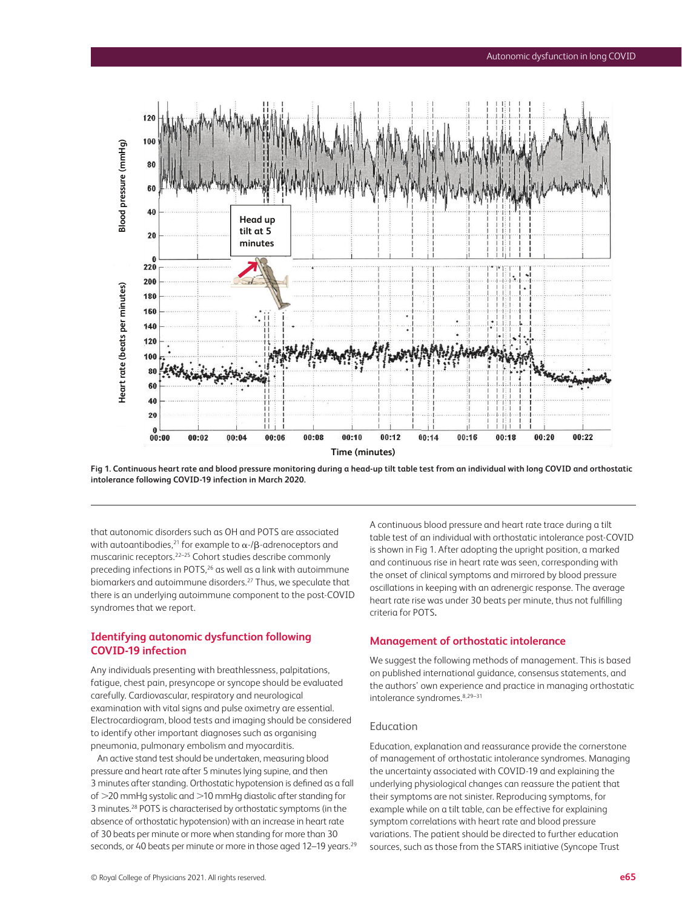

**Fig 1. Continuous heart rate and blood pressure monitoring during a head-up tilt table test from an individual with long COVID and orthostatic intolerance following COVID-19 infection in March 2020.**

that autonomic disorders such as OH and POTS are associated with autoantibodies,<sup>21</sup> for example to  $\alpha$ -/ $\beta$ -adrenoceptors and muscarinic receptors.22–25 Cohort studies describe commonly preceding infections in POTS,<sup>26</sup> as well as a link with autoimmune biomarkers and autoimmune disorders.<sup>27</sup> Thus, we speculate that there is an underlying autoimmune component to the post-COVID syndromes that we report.

## **Identifying autonomic dysfunction following COVID-19 infection**

Any individuals presenting with breathlessness, palpitations, fatigue, chest pain, presyncope or syncope should be evaluated carefully. Cardiovascular, respiratory and neurological examination with vital signs and pulse oximetry are essential. Electrocardiogram, blood tests and imaging should be considered to identify other important diagnoses such as organising pneumonia, pulmonary embolism and myocarditis.

An active stand test should be undertaken, measuring blood pressure and heart rate after 5 minutes lying supine, and then 3 minutes after standing. Orthostatic hypotension is defined as a fall of >20 mmHg systolic and >10 mmHg diastolic after standing for 3 minutes.28 POTS is characterised by orthostatic symptoms (in the absence of orthostatic hypotension) with an increase in heart rate of 30 beats per minute or more when standing for more than 30 seconds, or 40 beats per minute or more in those aged 12–19 years.<sup>29</sup> A continuous blood pressure and heart rate trace during a tilt table test of an individual with orthostatic intolerance post-COVID is shown in Fig 1. After adopting the upright position, a marked and continuous rise in heart rate was seen, corresponding with the onset of clinical symptoms and mirrored by blood pressure oscillations in keeping with an adrenergic response. The average heart rate rise was under 30 beats per minute, thus not fulfilling criteria for POTS**.**

#### **Management of orthostatic intolerance**

We suggest the following methods of management. This is based on published international guidance, consensus statements, and the authors' own experience and practice in managing orthostatic intolerance syndromes.<sup>8,29-31</sup>

## Education

Education, explanation and reassurance provide the cornerstone of management of orthostatic intolerance syndromes. Managing the uncertainty associated with COVID-19 and explaining the underlying physiological changes can reassure the patient that their symptoms are not sinister. Reproducing symptoms, for example while on a tilt table, can be effective for explaining symptom correlations with heart rate and blood pressure variations. The patient should be directed to further education sources, such as those from the STARS initiative (Syncope Trust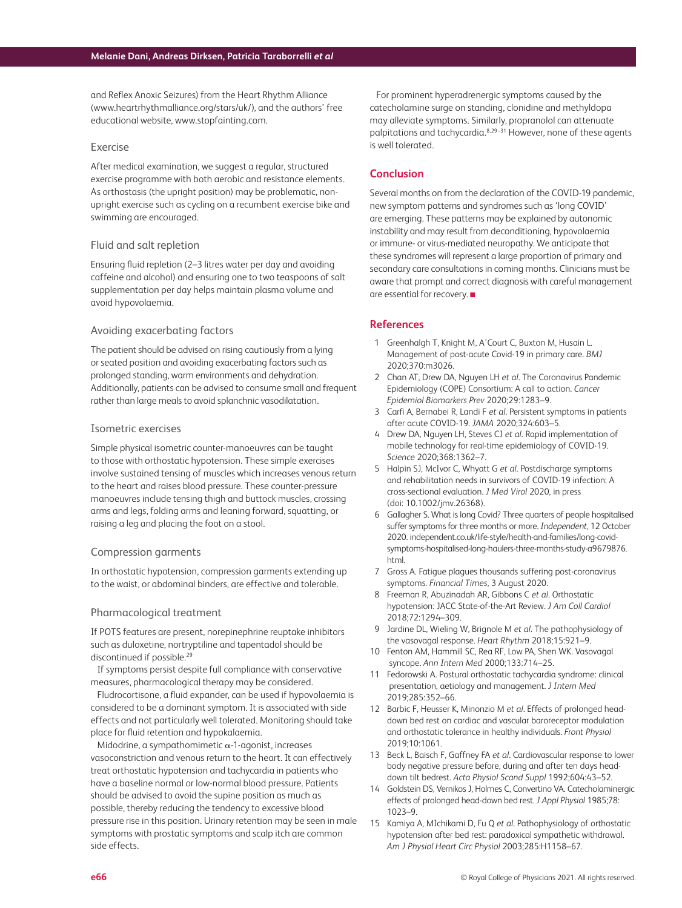and Reflex Anoxic Seizures) from the Heart Rhythm Alliance [\(www.heartrhythmalliance.org/stars/uk/](http://www.heartrhythmalliance.org/stars/uk/)), and the authors' free educational website, www.stopfainting.com.

#### Exercise

After medical examination, we suggest a regular, structured exercise programme with both aerobic and resistance elements. As orthostasis (the upright position) may be problematic, nonupright exercise such as cycling on a recumbent exercise bike and swimming are encouraged.

#### Fluid and salt repletion

Ensuring fluid repletion (2–3 litres water per day and avoiding caffeine and alcohol) and ensuring one to two teaspoons of salt supplementation per day helps maintain plasma volume and avoid hypovolaemia.

#### Avoiding exacerbating factors

The patient should be advised on rising cautiously from a lying or seated position and avoiding exacerbating factors such as prolonged standing, warm environments and dehydration. Additionally, patients can be advised to consume small and frequent rather than large meals to avoid splanchnic vasodilatation.

#### Isometric exercises

Simple physical isometric counter-manoeuvres can be taught to those with orthostatic hypotension. These simple exercises involve sustained tensing of muscles which increases venous return to the heart and raises blood pressure. These counter-pressure manoeuvres include tensing thigh and buttock muscles, crossing arms and legs, folding arms and leaning forward, squatting, or raising a leg and placing the foot on a stool.

#### Compression garments

In orthostatic hypotension, compression garments extending up to the waist, or abdominal binders, are effective and tolerable.

#### Pharmacological treatment

If POTS features are present, norepinephrine reuptake inhibitors such as duloxetine, nortryptiline and tapentadol should be discontinued if possible.<sup>29</sup>

If symptoms persist despite full compliance with conservative measures, pharmacological therapy may be considered.

Fludrocortisone, a fluid expander, can be used if hypovolaemia is considered to be a dominant symptom. It is associated with side effects and not particularly well tolerated. Monitoring should take place for fluid retention and hypokalaemia.

Midodrine, a sympathomimetic  $\alpha$ -1-agonist, increases vasoconstriction and venous return to the heart. It can effectively treat orthostatic hypotension and tachycardia in patients who have a baseline normal or low-normal blood pressure. Patients should be advised to avoid the supine position as much as possible, thereby reducing the tendency to excessive blood pressure rise in this position. Urinary retention may be seen in male symptoms with prostatic symptoms and scalp itch are common side effects.

For prominent hyperadrenergic symptoms caused by the catecholamine surge on standing, clonidine and methyldopa may alleviate symptoms. Similarly, propranolol can attenuate palpitations and tachycardia.8,29–31 However, none of these agents is well tolerated.

## **Conclusion**

Several months on from the declaration of the COVID-19 pandemic, new symptom patterns and syndromes such as 'long COVID' are emerging. These patterns may be explained by autonomic instability and may result from deconditioning, hypovolaemia or immune- or virus-mediated neuropathy. We anticipate that these syndromes will represent a large proportion of primary and secondary care consultations in coming months. Clinicians must be aware that prompt and correct diagnosis with careful management are essential for recovery. ■

## **References**

- 1 Greenhalgh T, Knight M, A'Court C, Buxton M, Husain L. Management of post-acute Covid-19 in primary care. *BMJ*  2020;370:m3026.
- 2 Chan AT, Drew DA, Nguyen LH *et al*. The Coronavirus Pandemic Epidemiology (COPE) Consortium: A call to action. *Cancer Epidemiol Biomarkers Prev* 2020;29:1283–9.
- 3 Carfi A, Bernabei R, Landi F *et al*. Persistent symptoms in patients after acute COVID-19. *JAMA* 2020;324:603–5.
- 4 Drew DA, Nguyen LH, Steves CJ *et al*. Rapid implementation of mobile technology for real-time epidemiology of COVID-19. *Science* 2020;368:1362–7.
- 5 Halpin SJ, McIvor C, Whyatt G *et al*. Postdischarge symptoms and rehabilitation needs in survivors of COVID-19 infection: A cross-sectional evaluation. *J Med Virol* 2020, in press (doi: 10.1002/jmv.26368).
- 6 Gallagher S. What is long Covid? Three quarters of people hospitalised suffer symptoms for three months or more. *Independent*, 12 October 2020. independent.co.uk/life-style/health-and-families/long-covid[symptoms-hospitalised-long-haulers-three-months-study-a9679876.](http://independent.co.uk/life-style/health-and-families/long-covid-symptoms-hospitalised-long-haulers-three-months-study-a9679876.html) html.
- 7 Gross A. Fatigue plagues thousands suffering post-coronavirus symptoms. *Financial Times*, 3 August 2020.
- 8 Freeman R, Abuzinadah AR, Gibbons C *et al*. Orthostatic hypotension: JACC State-of-the-Art Review. *J Am Coll Cardiol*  2018;72:1294–309.
- 9 Jardine DL, Wieling W, Brignole M *et al*. The pathophysiology of the vasovagal response. *Heart Rhythm* 2018;15:921–9.
- 10 Fenton AM, Hammill SC, Rea RF, Low PA, Shen WK. Vasovagal syncope. *Ann Intern Med* 2000;133:714–25.
- 11 Fedorowski A. Postural orthostatic tachycardia syndrome: clinical presentation, aetiology and management. *J Intern Med* 2019;285:352–66.
- 12 Barbic F, Heusser K, Minonzio M *et al*. Effects of prolonged headdown bed rest on cardiac and vascular baroreceptor modulation and orthostatic tolerance in healthy individuals. *Front Physiol* 2019;10:1061.
- 13 Beck L, Baisch F, Gaffney FA *et al*. Cardiovascular response to lower body negative pressure before, during and after ten days headdown tilt bedrest. *Acta Physiol Scand Suppl* 1992;604:43–52.
- 14 Goldstein DS, Vernikos J, Holmes C, Convertino VA. Catecholaminergic effects of prolonged head-down bed rest. *J Appl Physiol* 1985;78: 1023–9.
- 15 Kamiya A, MIchikami D, Fu Q *et al*. Pathophysiology of orthostatic hypotension after bed rest: paradoxical sympathetic withdrawal. *Am J Physiol Heart Circ Physiol* 2003;285:H1158–67.